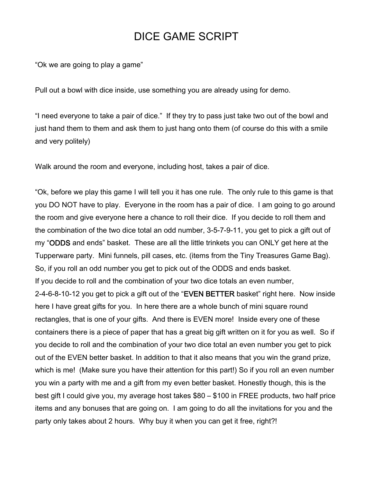## DICE GAME SCRIPT

"Ok we are going to play a game"

Pull out a bowl with dice inside, use something you are already using for demo.

"I need everyone to take a pair of dice." If they try to pass just take two out of the bowl and just hand them to them and ask them to just hang onto them (of course do this with a smile and very politely)

Walk around the room and everyone, including host, takes a pair of dice.

"Ok, before we play this game I will tell you it has one rule. The only rule to this game is that you DO NOT have to play. Everyone in the room has a pair of dice. I am going to go around the room and give everyone here a chance to roll their dice. If you decide to roll them and the combination of the two dice total an odd number, 3-5-7-9-11, you get to pick a gift out of my "ODDS and ends" basket. These are all the little trinkets you can ONLY get here at the Tupperware party. Mini funnels, pill cases, etc. (items from the Tiny Treasures Game Bag). So, if you roll an odd number you get to pick out of the ODDS and ends basket. If you decide to roll and the combination of your two dice totals an even number, 2-4-6-8-10-12 you get to pick a gift out of the "EVEN BETTER basket" right here. Now inside here I have great gifts for you. In here there are a whole bunch of mini square round rectangles, that is one of your gifts. And there is EVEN more! Inside every one of these containers there is a piece of paper that has a great big gift written on it for you as well. So if you decide to roll and the combination of your two dice total an even number you get to pick out of the EVEN better basket. In addition to that it also means that you win the grand prize, which is me! (Make sure you have their attention for this part!) So if you roll an even number you win a party with me and a gift from my even better basket. Honestly though, this is the best gift I could give you, my average host takes \$80 – \$100 in FREE products, two half price items and any bonuses that are going on. I am going to do all the invitations for you and the party only takes about 2 hours. Why buy it when you can get it free, right?!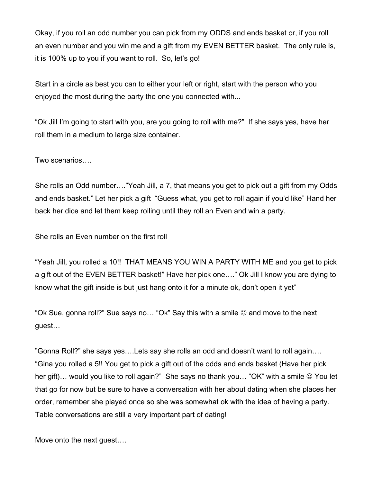Okay, if you roll an odd number you can pick from my ODDS and ends basket or, if you roll an even number and you win me and a gift from my EVEN BETTER basket. The only rule is, it is 100% up to you if you want to roll. So, let's go!

Start in a circle as best you can to either your left or right, start with the person who you enjoyed the most during the party the one you connected with...

"Ok Jill I'm going to start with you, are you going to roll with me?" If she says yes, have her roll them in a medium to large size container.

Two scenarios….

She rolls an Odd number…."Yeah Jill, a 7, that means you get to pick out a gift from my Odds and ends basket." Let her pick a gift "Guess what, you get to roll again if you'd like" Hand her back her dice and let them keep rolling until they roll an Even and win a party.

She rolls an Even number on the first roll

"Yeah Jill, you rolled a 10!! THAT MEANS YOU WIN A PARTY WITH ME and you get to pick a gift out of the EVEN BETTER basket!" Have her pick one…." Ok Jill I know you are dying to know what the gift inside is but just hang onto it for a minute ok, don't open it yet"

"Ok Sue, gonna roll?" Sue says no... "Ok" Say this with a smile  $\odot$  and move to the next guest…

"Gonna Roll?" she says yes….Lets say she rolls an odd and doesn't want to roll again…. "Gina you rolled a 5!! You get to pick a gift out of the odds and ends basket (Have her pick her gift)... would you like to roll again?" She says no thank you... "OK" with a smile  $\odot$  You let that go for now but be sure to have a conversation with her about dating when she places her order, remember she played once so she was somewhat ok with the idea of having a party. Table conversations are still a very important part of dating!

Move onto the next guest….